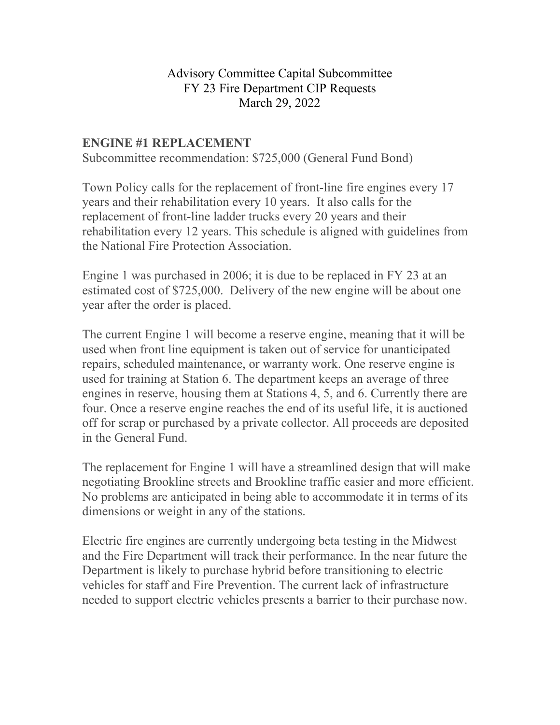## Advisory Committee Capital Subcommittee FY 23 Fire Department CIP Requests March 29, 2022

## **ENGINE #1 REPLACEMENT**

Subcommittee recommendation: \$725,000 (General Fund Bond)

Town Policy calls for the replacement of front-line fire engines every 17 years and their rehabilitation every 10 years. It also calls for the replacement of front-line ladder trucks every 20 years and their rehabilitation every 12 years. This schedule is aligned with guidelines from the National Fire Protection Association.

Engine 1 was purchased in 2006; it is due to be replaced in FY 23 at an estimated cost of \$725,000. Delivery of the new engine will be about one year after the order is placed.

The current Engine 1 will become a reserve engine, meaning that it will be used when front line equipment is taken out of service for unanticipated repairs, scheduled maintenance, or warranty work. One reserve engine is used for training at Station 6. The department keeps an average of three engines in reserve, housing them at Stations 4, 5, and 6. Currently there are four. Once a reserve engine reaches the end of its useful life, it is auctioned off for scrap or purchased by a private collector. All proceeds are deposited in the General Fund.

The replacement for Engine 1 will have a streamlined design that will make negotiating Brookline streets and Brookline traffic easier and more efficient. No problems are anticipated in being able to accommodate it in terms of its dimensions or weight in any of the stations.

Electric fire engines are currently undergoing beta testing in the Midwest and the Fire Department will track their performance. In the near future the Department is likely to purchase hybrid before transitioning to electric vehicles for staff and Fire Prevention. The current lack of infrastructure needed to support electric vehicles presents a barrier to their purchase now.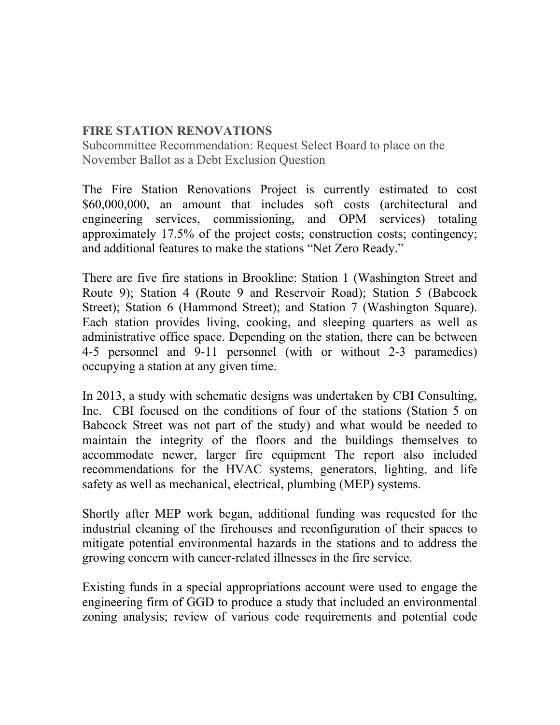## **FIRE STATION RENOVATIONS**

Subcommittee Recommendation: Request Select Board to place on the November Ballot as a Debt Exclusion Question

The Fire Station Renovations Project is currently estimated to cost \$60,000,000, an amount that includes soft costs (architectural and engineering services, commissioning, and OPM services) totaling approximately 17.5% of the project costs; construction costs; contingency; and additional features to make the stations "Net Zero Ready."

There are five fire stations in Brookline: Station 1 (Washington Street and Route 9); Station 4 (Route 9 and Reservoir Road); Station 5 (Babcock Street); Station 6 (Hammond Street); and Station 7 (Washington Square). Each station provides living, cooking, and sleeping quarters as well as administrative office space. Depending on the station, there can be between 4-5 personnel and 9-11 personnel (with or without 2-3 paramedics) occupying a station at any given time.

In 2013, a study with schematic designs was undertaken by CBI Consulting, Inc. CBI focused on the conditions of four of the stations (Station 5 on Babcock Street was not part of the study) and what would be needed to maintain the integrity of the floors and the buildings themselves to accommodate newer, larger fire equipment The report also included recommendations for the HVAC systems, generators, lighting, and life safety as well as mechanical, electrical, plumbing (MEP) systems.

Shortly after MEP work began, additional funding was requested for the industrial cleaning of the firehouses and reconfiguration of their spaces to mitigate potential environmental hazards in the stations and to address the growing concern with cancer-related illnesses in the fire service.

Existing funds in a special appropriations account were used to engage the engineering firm of GGD to produce a study that included an environmental zoning analysis; review of various code requirements and potential code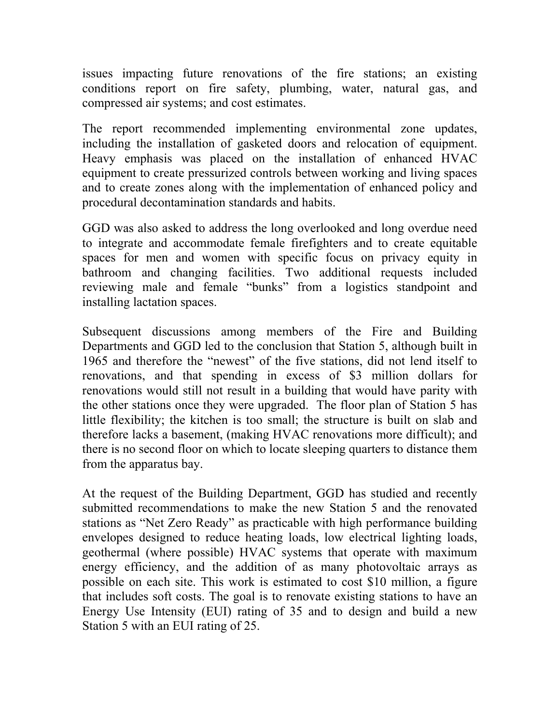issues impacting future renovations of the fire stations; an existing conditions report on fire safety, plumbing, water, natural gas, and compressed air systems; and cost estimates.

The report recommended implementing environmental zone updates, including the installation of gasketed doors and relocation of equipment. Heavy emphasis was placed on the installation of enhanced HVAC equipment to create pressurized controls between working and living spaces and to create zones along with the implementation of enhanced policy and procedural decontamination standards and habits.

GGD was also asked to address the long overlooked and long overdue need to integrate and accommodate female firefighters and to create equitable spaces for men and women with specific focus on privacy equity in bathroom and changing facilities. Two additional requests included reviewing male and female "bunks" from a logistics standpoint and installing lactation spaces.

Subsequent discussions among members of the Fire and Building Departments and GGD led to the conclusion that Station 5, although built in 1965 and therefore the "newest" of the five stations, did not lend itself to renovations, and that spending in excess of \$3 million dollars for renovations would still not result in a building that would have parity with the other stations once they were upgraded. The floor plan of Station 5 has little flexibility; the kitchen is too small; the structure is built on slab and therefore lacks a basement, (making HVAC renovations more difficult); and there is no second floor on which to locate sleeping quarters to distance them from the apparatus bay.

At the request of the Building Department, GGD has studied and recently submitted recommendations to make the new Station 5 and the renovated stations as "Net Zero Ready" as practicable with high performance building envelopes designed to reduce heating loads, low electrical lighting loads, geothermal (where possible) HVAC systems that operate with maximum energy efficiency, and the addition of as many photovoltaic arrays as possible on each site. This work is estimated to cost \$10 million, a figure that includes soft costs. The goal is to renovate existing stations to have an Energy Use Intensity (EUI) rating of 35 and to design and build a new Station 5 with an EUI rating of 25.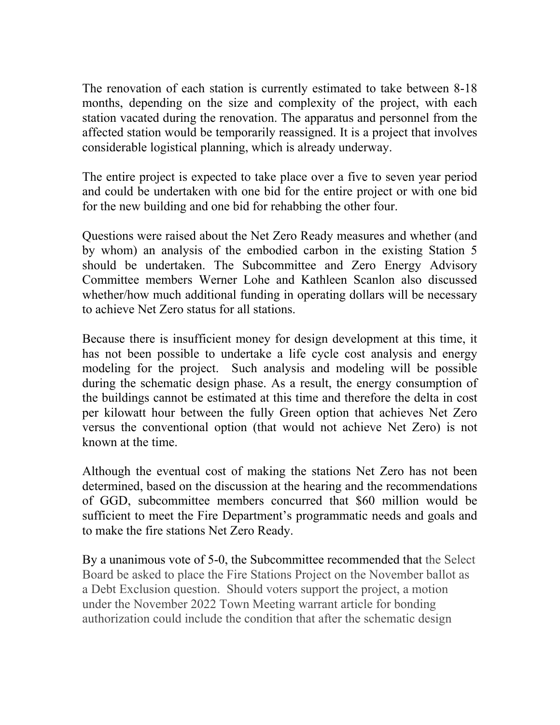The renovation of each station is currently estimated to take between 8-18 months, depending on the size and complexity of the project, with each station vacated during the renovation. The apparatus and personnel from the affected station would be temporarily reassigned. It is a project that involves considerable logistical planning, which is already underway.

The entire project is expected to take place over a five to seven year period and could be undertaken with one bid for the entire project or with one bid for the new building and one bid for rehabbing the other four.

Questions were raised about the Net Zero Ready measures and whether (and by whom) an analysis of the embodied carbon in the existing Station 5 should be undertaken. The Subcommittee and Zero Energy Advisory Committee members Werner Lohe and Kathleen Scanlon also discussed whether/how much additional funding in operating dollars will be necessary to achieve Net Zero status for all stations.

Because there is insufficient money for design development at this time, it has not been possible to undertake a life cycle cost analysis and energy modeling for the project. Such analysis and modeling will be possible during the schematic design phase. As a result, the energy consumption of the buildings cannot be estimated at this time and therefore the delta in cost per kilowatt hour between the fully Green option that achieves Net Zero versus the conventional option (that would not achieve Net Zero) is not known at the time.

Although the eventual cost of making the stations Net Zero has not been determined, based on the discussion at the hearing and the recommendations of GGD, subcommittee members concurred that \$60 million would be sufficient to meet the Fire Department's programmatic needs and goals and to make the fire stations Net Zero Ready.

By a unanimous vote of 5-0, the Subcommittee recommended that the Select Board be asked to place the Fire Stations Project on the November ballot as a Debt Exclusion question. Should voters support the project, a motion under the November 2022 Town Meeting warrant article for bonding authorization could include the condition that after the schematic design